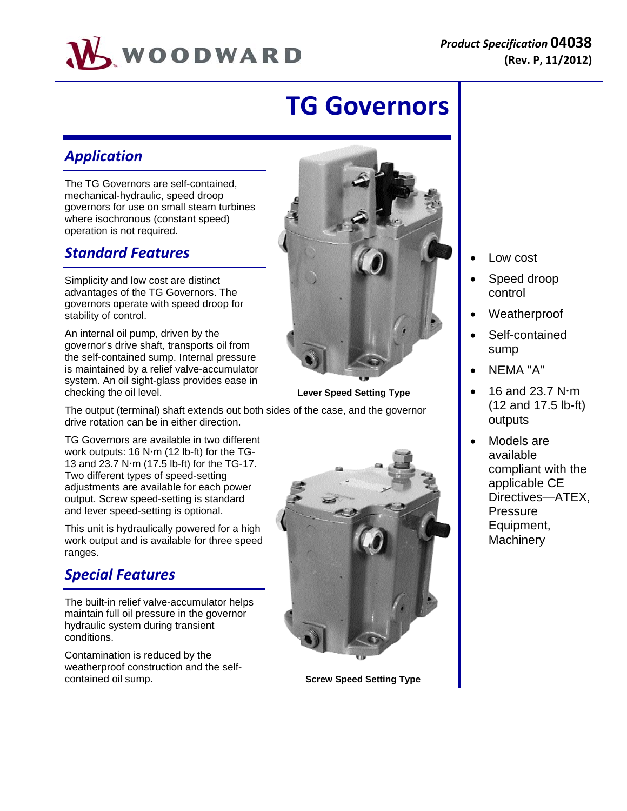

# **TG Governors**

# *Application*

The TG Governors are self-contained, mechanical-hydraulic, speed droop governors for use on small steam turbines where isochronous (constant speed) operation is not required.

# *Standard Features*

Simplicity and low cost are distinct advantages of the TG Governors. The governors operate with speed droop for stability of control.

An internal oil pump, driven by the governor's drive shaft, transports oil from the self-contained sump. Internal pressure is maintained by a relief valve-accumulator system. An oil sight-glass provides ease in checking the oil level. **Lever Speed Setting Type**



The output (terminal) shaft extends out both sides of the case, and the governor drive rotation can be in either direction.

TG Governors are available in two different work outputs:  $16$  N·m ( $12$  lb-ft) for the TG-13 and 23.7 N $\cdot$ m (17.5 lb-ft) for the TG-17. Two different types of speed-setting adjustments are available for each power output. Screw speed-setting is standard and lever speed-setting is optional.

This unit is hydraulically powered for a high work output and is available for three speed ranges.

# *Special Features*

The built-in relief valve-accumulator helps maintain full oil pressure in the governor hydraulic system during transient conditions.

Contamination is reduced by the weatherproof construction and the selfcontained oil sump. **Screw Speed Setting Type**



- Low cost
- Speed droop control
- Weatherproof
- Self-contained sump
- NEMA "A"
- 16 and 23.7  $N \cdot m$ (12 and 17.5 lb-ft) outputs
- Models are available compliant with the applicable CE Directives—ATEX, **Pressure** Equipment, **Machinery**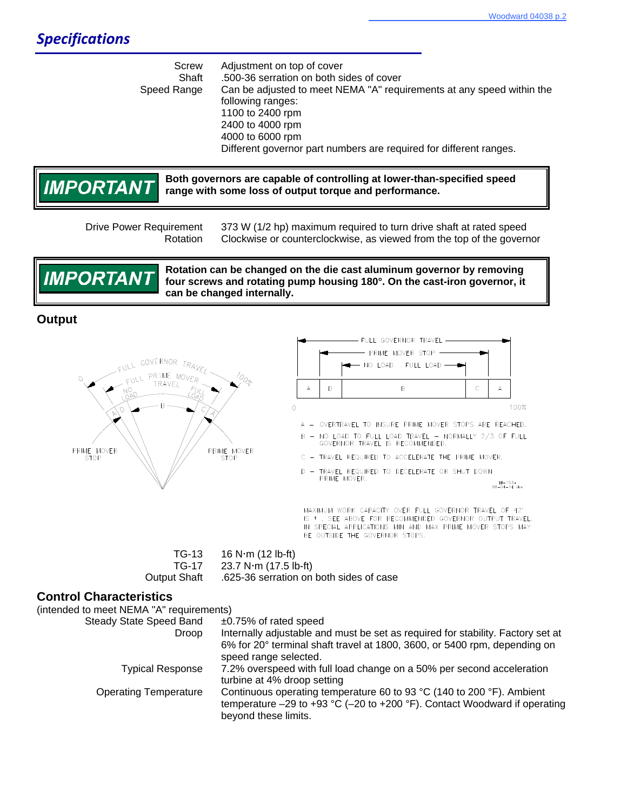Screw Adjustment on top of cover Shaft .500-36 serration on both sides of cover Speed Range Can be adjusted to meet NEMA "A" requirements at any speed within the following ranges: 1100 to 2400 rpm 2400 to 4000 rpm 4000 to 6000 rpm Different governor part numbers are required for different ranges.



**Both governors are capable of controlling at lower-than-specified speed range with some loss of output torque and performance.**

 Drive Power Requirement 373 W (1/2 hp) maximum required to turn drive shaft at rated speed Rotation Clockwise or counterclockwise, as viewed from the top of the governor



**Rotation can be changed on the die cast aluminum governor by removing four screws and rotating pump housing 180°. On the cast-iron governor, it can be changed internally.**

## **Output**





 $MI-153a$ <br>98-04-14 skw

MAXIMUM WORK CAPACITY OVER FULL GOVERNOR TRAVEL OF 42\* IS \* . SEE ABOVE FOR RECOMMENDED GOVERNOR OUTPUT TRAVEL. IN SPECIAL APPLICATIONS MIN AND MAX PRIME MOVER STOPS MAY BE OUTSIDE THE GOVERNOR STOPS.

 $TG-13$  16 N $\cdot$ m (12 lb-ft)  $TG-17$  23.7 N $\cdot$ m (17.5 lb-ft) Output Shaft .625-36 serration on both sides of case

### **Control Characteristics**

(intended to meet NEMA "A" requirements) Steady State Speed Band ±0.75% of rated speed Droop Internally adjustable and must be set as required for stability. Factory set at 6% for 20° terminal shaft travel at 1800, 3600, or 5400 rpm, depending on speed range selected. Typical Response 7.2% overspeed with full load change on a 50% per second acceleration turbine at 4% droop setting

> Operating Temperature Continuous operating temperature 60 to 93 °C (140 to 200 °F). Ambient temperature –29 to +93 °C (–20 to +200 °F). Contact Woodward if operating beyond these limits.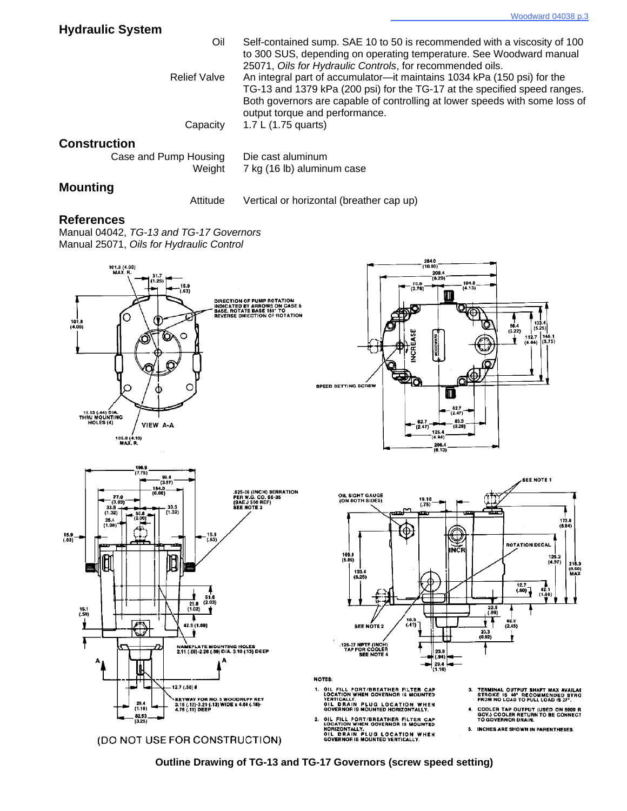| <b>Hydraulic System</b>         |                                                                                                                                                                                                                                                                       |
|---------------------------------|-----------------------------------------------------------------------------------------------------------------------------------------------------------------------------------------------------------------------------------------------------------------------|
| Oil                             | Self-contained sump. SAE 10 to 50 is recommended with a viscosity of 100<br>to 300 SUS, depending on operating temperature. See Woodward manual<br>25071, Oils for Hydraulic Controls, for recommended oils.                                                          |
| <b>Relief Valve</b>             | An integral part of accumulator-it maintains 1034 kPa (150 psi) for the<br>TG-13 and 1379 kPa (200 psi) for the TG-17 at the specified speed ranges.<br>Both governors are capable of controlling at lower speeds with some loss of<br>output torque and performance. |
| Capacity                        | 1.7 L (1.75 quarts)                                                                                                                                                                                                                                                   |
| <b>Construction</b>             |                                                                                                                                                                                                                                                                       |
| Case and Pump Housing<br>Weight | Die cast aluminum<br>7 kg (16 lb) aluminum case                                                                                                                                                                                                                       |

## **Mounting**

Attitude Vertical or horizontal (breather cap up)

#### **References**

Manual 04042, *TG-13 and TG-17 Governors* Manual 25071, *Oils for Hydraulic Control*



**Outline Drawing of TG-13 and TG-17 Governors (screw speed setting)**